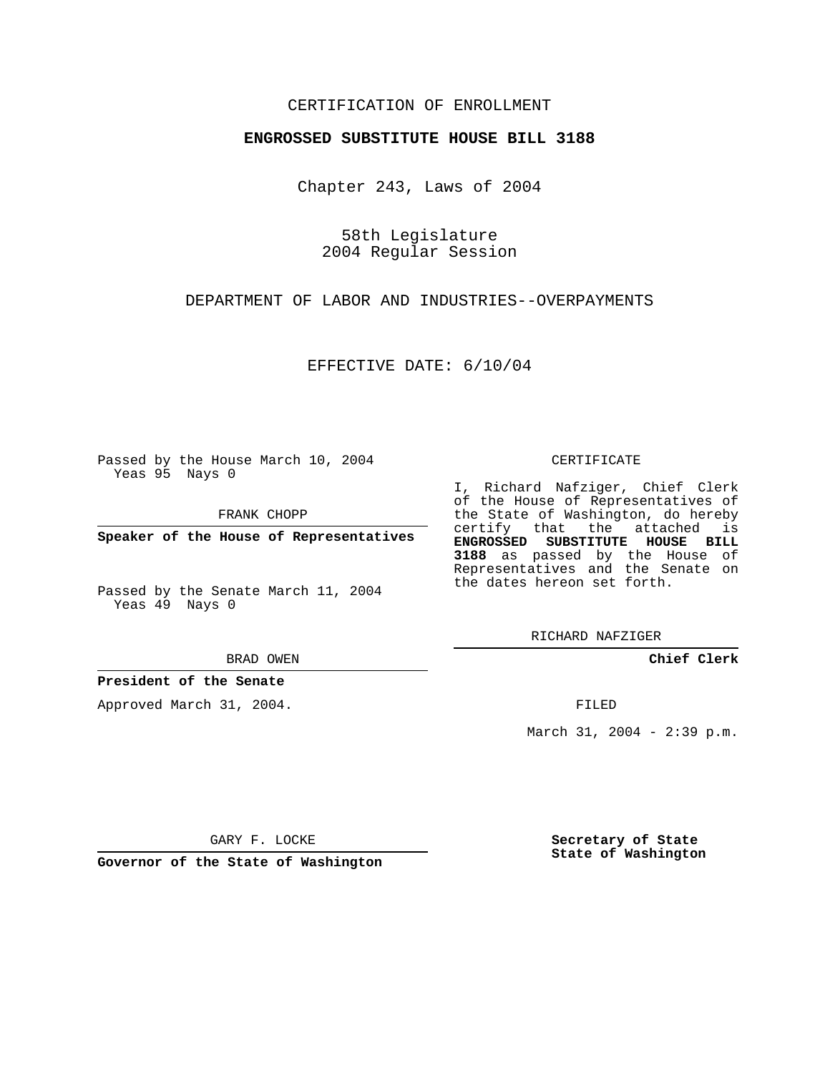## CERTIFICATION OF ENROLLMENT

#### **ENGROSSED SUBSTITUTE HOUSE BILL 3188**

Chapter 243, Laws of 2004

58th Legislature 2004 Regular Session

DEPARTMENT OF LABOR AND INDUSTRIES--OVERPAYMENTS

EFFECTIVE DATE: 6/10/04

Passed by the House March 10, 2004 Yeas 95 Nays 0

FRANK CHOPP

**Speaker of the House of Representatives**

Passed by the Senate March 11, 2004 Yeas 49 Nays 0

BRAD OWEN

### **President of the Senate**

Approved March 31, 2004.

CERTIFICATE

I, Richard Nafziger, Chief Clerk of the House of Representatives of the State of Washington, do hereby certify that the attached is **ENGROSSED SUBSTITUTE HOUSE BILL 3188** as passed by the House of Representatives and the Senate on the dates hereon set forth.

RICHARD NAFZIGER

**Chief Clerk**

FILED

March 31, 2004 - 2:39 p.m.

GARY F. LOCKE

**Governor of the State of Washington**

**Secretary of State State of Washington**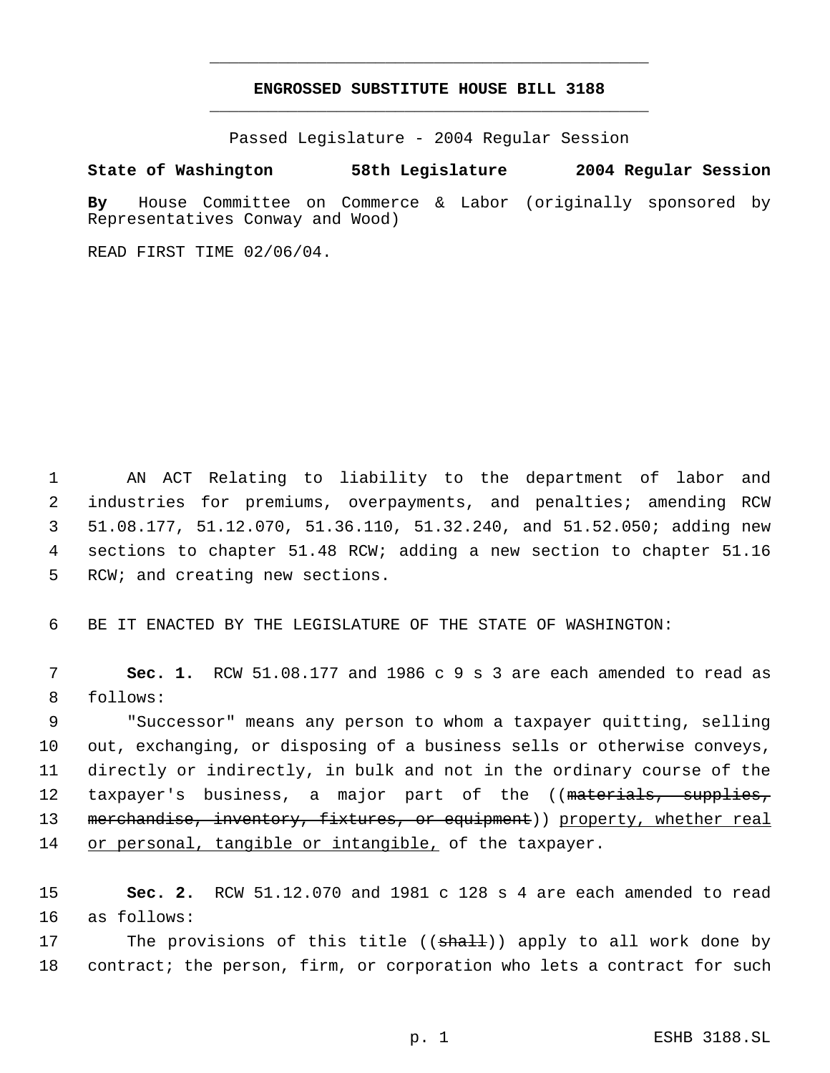# **ENGROSSED SUBSTITUTE HOUSE BILL 3188** \_\_\_\_\_\_\_\_\_\_\_\_\_\_\_\_\_\_\_\_\_\_\_\_\_\_\_\_\_\_\_\_\_\_\_\_\_\_\_\_\_\_\_\_\_

\_\_\_\_\_\_\_\_\_\_\_\_\_\_\_\_\_\_\_\_\_\_\_\_\_\_\_\_\_\_\_\_\_\_\_\_\_\_\_\_\_\_\_\_\_

Passed Legislature - 2004 Regular Session

#### **State of Washington 58th Legislature 2004 Regular Session**

**By** House Committee on Commerce & Labor (originally sponsored by Representatives Conway and Wood)

READ FIRST TIME 02/06/04.

 AN ACT Relating to liability to the department of labor and industries for premiums, overpayments, and penalties; amending RCW 51.08.177, 51.12.070, 51.36.110, 51.32.240, and 51.52.050; adding new sections to chapter 51.48 RCW; adding a new section to chapter 51.16 RCW; and creating new sections.

6 BE IT ENACTED BY THE LEGISLATURE OF THE STATE OF WASHINGTON:

 7 **Sec. 1.** RCW 51.08.177 and 1986 c 9 s 3 are each amended to read as 8 follows:

 9 "Successor" means any person to whom a taxpayer quitting, selling 10 out, exchanging, or disposing of a business sells or otherwise conveys, 11 directly or indirectly, in bulk and not in the ordinary course of the 12 taxpayer's business, a major part of the ((materials, supplies, 13 merchandise, inventory, fixtures, or equipment)) property, whether real 14 or personal, tangible or intangible, of the taxpayer.

15 **Sec. 2.** RCW 51.12.070 and 1981 c 128 s 4 are each amended to read 16 as follows:

17 The provisions of this title ((shall)) apply to all work done by 18 contract; the person, firm, or corporation who lets a contract for such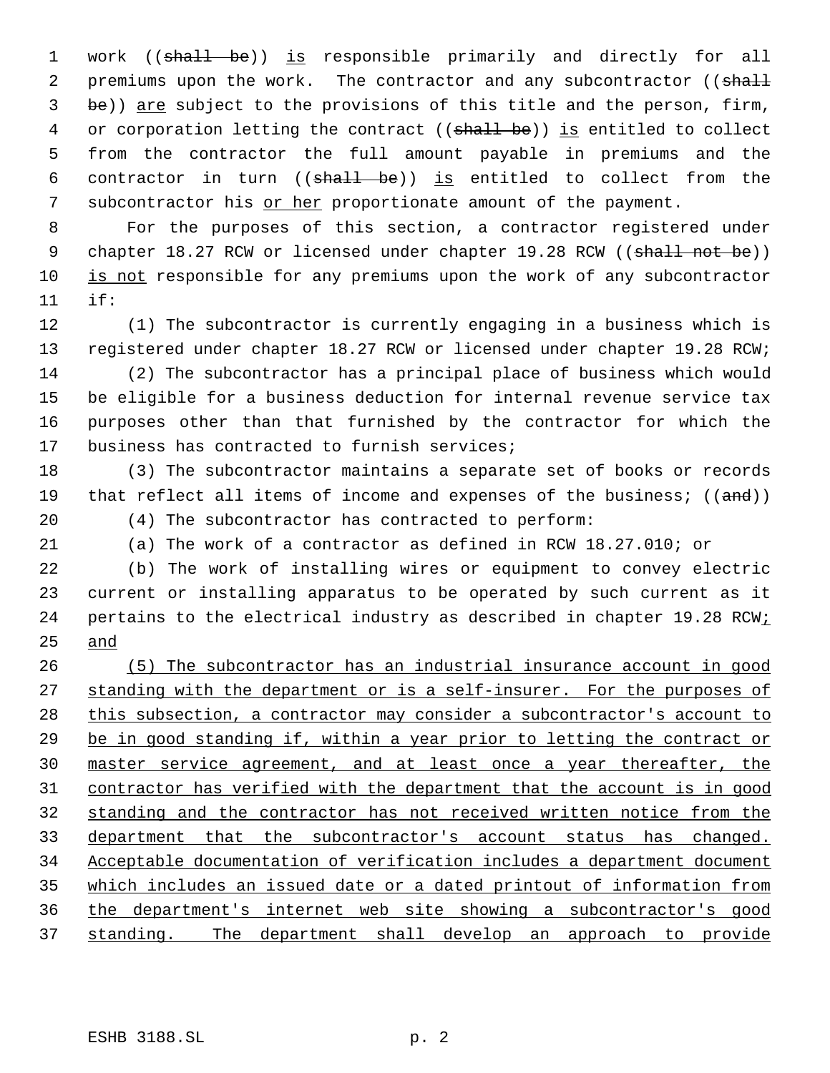1 work ((shall be)) is responsible primarily and directly for all 2 premiums upon the work. The contractor and any subcontractor ((shall be)) are subject to the provisions of this title and the person, firm, 4 or corporation letting the contract ((shall be)) is entitled to collect from the contractor the full amount payable in premiums and the 6 contractor in turn  $((shall-be))$  is entitled to collect from the subcontractor his or her proportionate amount of the payment.

 For the purposes of this section, a contractor registered under 9 chapter 18.27 RCW or licensed under chapter 19.28 RCW ((shall not be)) 10 is not responsible for any premiums upon the work of any subcontractor if:

 (1) The subcontractor is currently engaging in a business which is registered under chapter 18.27 RCW or licensed under chapter 19.28 RCW; (2) The subcontractor has a principal place of business which would be eligible for a business deduction for internal revenue service tax purposes other than that furnished by the contractor for which the business has contracted to furnish services;

 (3) The subcontractor maintains a separate set of books or records 19 that reflect all items of income and expenses of the business;  $((and))$ (4) The subcontractor has contracted to perform:

(a) The work of a contractor as defined in RCW 18.27.010; or

 (b) The work of installing wires or equipment to convey electric current or installing apparatus to be operated by such current as it 24 pertains to the electrical industry as described in chapter 19.28 RCW: and

 (5) The subcontractor has an industrial insurance account in good 27 standing with the department or is a self-insurer. For the purposes of 28 this subsection, a contractor may consider a subcontractor's account to be in good standing if, within a year prior to letting the contract or master service agreement, and at least once a year thereafter, the contractor has verified with the department that the account is in good standing and the contractor has not received written notice from the department that the subcontractor's account status has changed. Acceptable documentation of verification includes a department document which includes an issued date or a dated printout of information from the department's internet web site showing a subcontractor's good standing. The department shall develop an approach to provide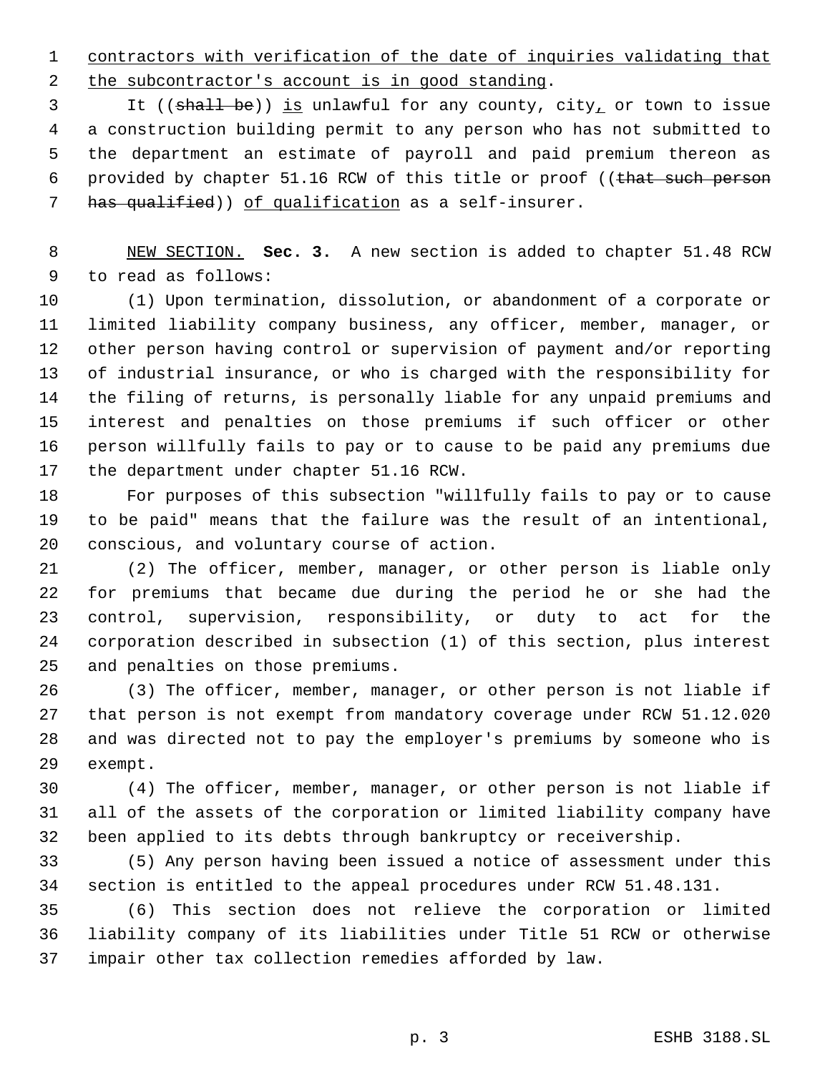contractors with verification of the date of inquiries validating that 2 the subcontractor's account is in good standing.

3 It ((shall be)) is unlawful for any county, city, or town to issue a construction building permit to any person who has not submitted to the department an estimate of payroll and paid premium thereon as 6 provided by chapter 51.16 RCW of this title or proof ((that such person has qualified)) of qualification as a self-insurer.

 NEW SECTION. **Sec. 3.** A new section is added to chapter 51.48 RCW to read as follows:

 (1) Upon termination, dissolution, or abandonment of a corporate or limited liability company business, any officer, member, manager, or other person having control or supervision of payment and/or reporting of industrial insurance, or who is charged with the responsibility for the filing of returns, is personally liable for any unpaid premiums and interest and penalties on those premiums if such officer or other person willfully fails to pay or to cause to be paid any premiums due the department under chapter 51.16 RCW.

 For purposes of this subsection "willfully fails to pay or to cause to be paid" means that the failure was the result of an intentional, conscious, and voluntary course of action.

 (2) The officer, member, manager, or other person is liable only for premiums that became due during the period he or she had the control, supervision, responsibility, or duty to act for the corporation described in subsection (1) of this section, plus interest and penalties on those premiums.

 (3) The officer, member, manager, or other person is not liable if that person is not exempt from mandatory coverage under RCW 51.12.020 and was directed not to pay the employer's premiums by someone who is exempt.

 (4) The officer, member, manager, or other person is not liable if all of the assets of the corporation or limited liability company have been applied to its debts through bankruptcy or receivership.

 (5) Any person having been issued a notice of assessment under this section is entitled to the appeal procedures under RCW 51.48.131.

 (6) This section does not relieve the corporation or limited liability company of its liabilities under Title 51 RCW or otherwise impair other tax collection remedies afforded by law.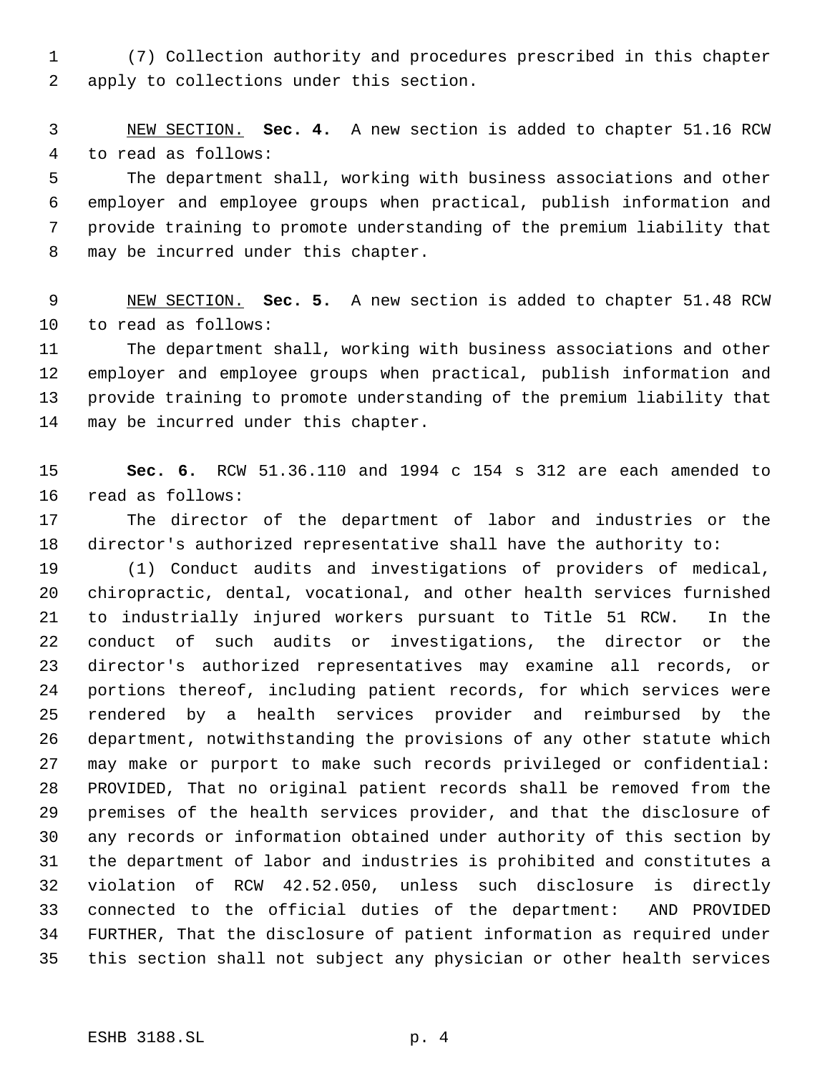(7) Collection authority and procedures prescribed in this chapter apply to collections under this section.

 NEW SECTION. **Sec. 4.** A new section is added to chapter 51.16 RCW to read as follows:

 The department shall, working with business associations and other employer and employee groups when practical, publish information and provide training to promote understanding of the premium liability that may be incurred under this chapter.

 NEW SECTION. **Sec. 5.** A new section is added to chapter 51.48 RCW to read as follows:

 The department shall, working with business associations and other employer and employee groups when practical, publish information and provide training to promote understanding of the premium liability that may be incurred under this chapter.

 **Sec. 6.** RCW 51.36.110 and 1994 c 154 s 312 are each amended to read as follows:

 The director of the department of labor and industries or the director's authorized representative shall have the authority to:

 (1) Conduct audits and investigations of providers of medical, chiropractic, dental, vocational, and other health services furnished to industrially injured workers pursuant to Title 51 RCW. In the conduct of such audits or investigations, the director or the director's authorized representatives may examine all records, or portions thereof, including patient records, for which services were rendered by a health services provider and reimbursed by the department, notwithstanding the provisions of any other statute which may make or purport to make such records privileged or confidential: PROVIDED, That no original patient records shall be removed from the premises of the health services provider, and that the disclosure of any records or information obtained under authority of this section by the department of labor and industries is prohibited and constitutes a violation of RCW 42.52.050, unless such disclosure is directly connected to the official duties of the department: AND PROVIDED FURTHER, That the disclosure of patient information as required under this section shall not subject any physician or other health services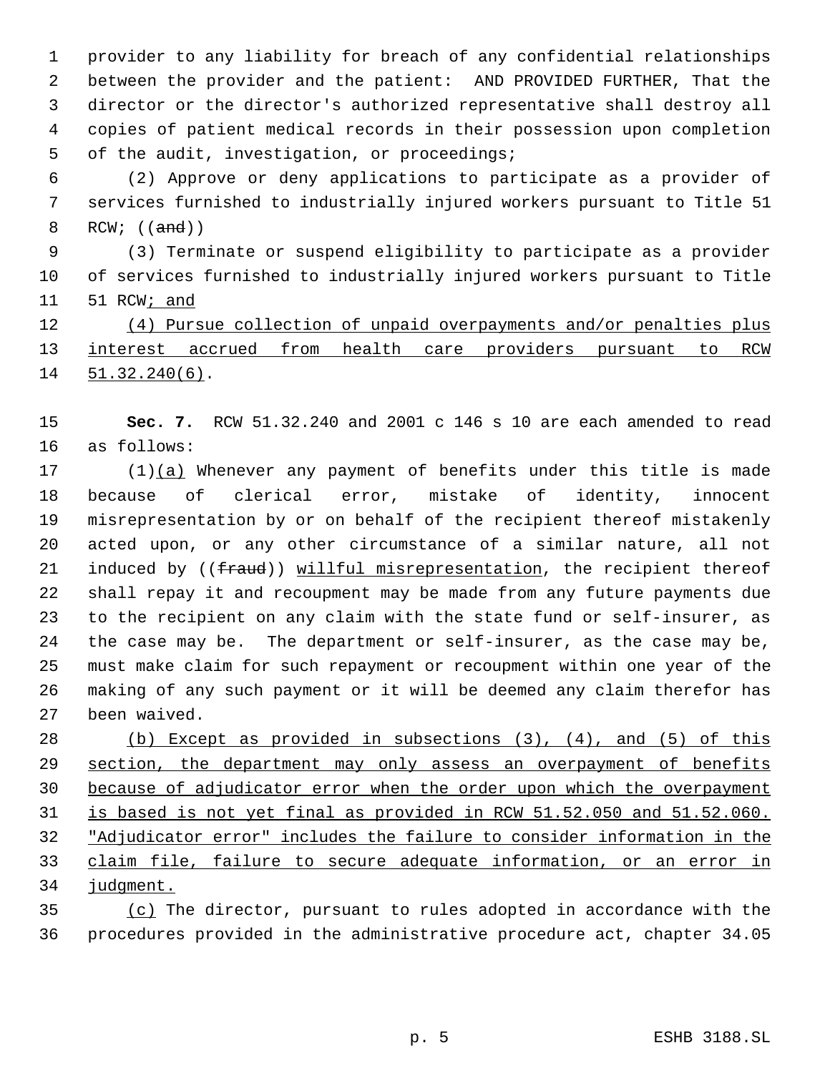provider to any liability for breach of any confidential relationships between the provider and the patient: AND PROVIDED FURTHER, That the director or the director's authorized representative shall destroy all copies of patient medical records in their possession upon completion of the audit, investigation, or proceedings;

 (2) Approve or deny applications to participate as a provider of services furnished to industrially injured workers pursuant to Title 51 8 RCW; ((and))

 (3) Terminate or suspend eligibility to participate as a provider of services furnished to industrially injured workers pursuant to Title 51 RCW; and

12 (4) Pursue collection of unpaid overpayments and/or penalties plus 13 interest accrued from health care providers pursuant to RCW 51.32.240(6).

 **Sec. 7.** RCW 51.32.240 and 2001 c 146 s 10 are each amended to read as follows:

 (1)(a) Whenever any payment of benefits under this title is made because of clerical error, mistake of identity, innocent misrepresentation by or on behalf of the recipient thereof mistakenly acted upon, or any other circumstance of a similar nature, all not 21 induced by ((fraud)) willful misrepresentation, the recipient thereof shall repay it and recoupment may be made from any future payments due to the recipient on any claim with the state fund or self-insurer, as the case may be. The department or self-insurer, as the case may be, must make claim for such repayment or recoupment within one year of the making of any such payment or it will be deemed any claim therefor has been waived.

 (b) Except as provided in subsections (3), (4), and (5) of this 29 section, the department may only assess an overpayment of benefits because of adjudicator error when the order upon which the overpayment is based is not yet final as provided in RCW 51.52.050 and 51.52.060. "Adjudicator error" includes the failure to consider information in the claim file, failure to secure adequate information, or an error in judgment.

 (c) The director, pursuant to rules adopted in accordance with the procedures provided in the administrative procedure act, chapter 34.05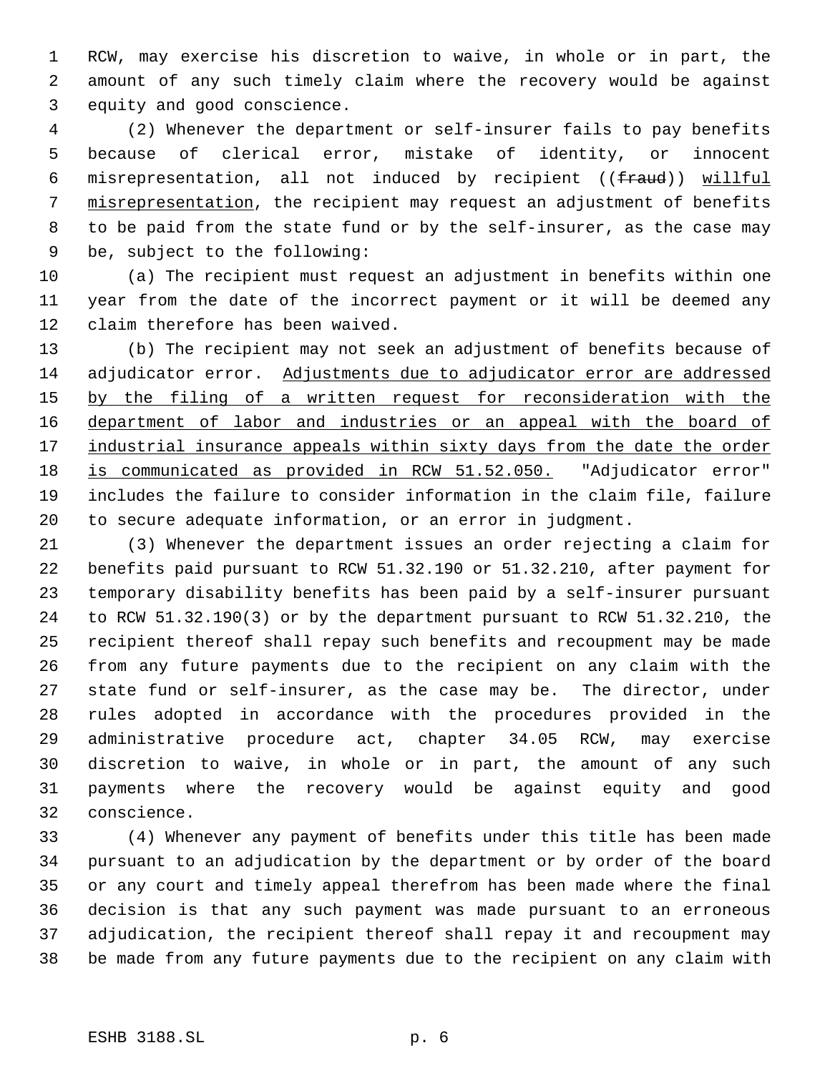RCW, may exercise his discretion to waive, in whole or in part, the amount of any such timely claim where the recovery would be against equity and good conscience.

 (2) Whenever the department or self-insurer fails to pay benefits because of clerical error, mistake of identity, or innocent misrepresentation, all not induced by recipient ((fraud)) willful misrepresentation, the recipient may request an adjustment of benefits to be paid from the state fund or by the self-insurer, as the case may be, subject to the following:

 (a) The recipient must request an adjustment in benefits within one year from the date of the incorrect payment or it will be deemed any claim therefore has been waived.

 (b) The recipient may not seek an adjustment of benefits because of adjudicator error. Adjustments due to adjudicator error are addressed 15 by the filing of a written request for reconsideration with the 16 department of labor and industries or an appeal with the board of 17 industrial insurance appeals within sixty days from the date the order is communicated as provided in RCW 51.52.050. "Adjudicator error" includes the failure to consider information in the claim file, failure to secure adequate information, or an error in judgment.

 (3) Whenever the department issues an order rejecting a claim for benefits paid pursuant to RCW 51.32.190 or 51.32.210, after payment for temporary disability benefits has been paid by a self-insurer pursuant to RCW 51.32.190(3) or by the department pursuant to RCW 51.32.210, the recipient thereof shall repay such benefits and recoupment may be made from any future payments due to the recipient on any claim with the state fund or self-insurer, as the case may be. The director, under rules adopted in accordance with the procedures provided in the administrative procedure act, chapter 34.05 RCW, may exercise discretion to waive, in whole or in part, the amount of any such payments where the recovery would be against equity and good conscience.

 (4) Whenever any payment of benefits under this title has been made pursuant to an adjudication by the department or by order of the board or any court and timely appeal therefrom has been made where the final decision is that any such payment was made pursuant to an erroneous adjudication, the recipient thereof shall repay it and recoupment may be made from any future payments due to the recipient on any claim with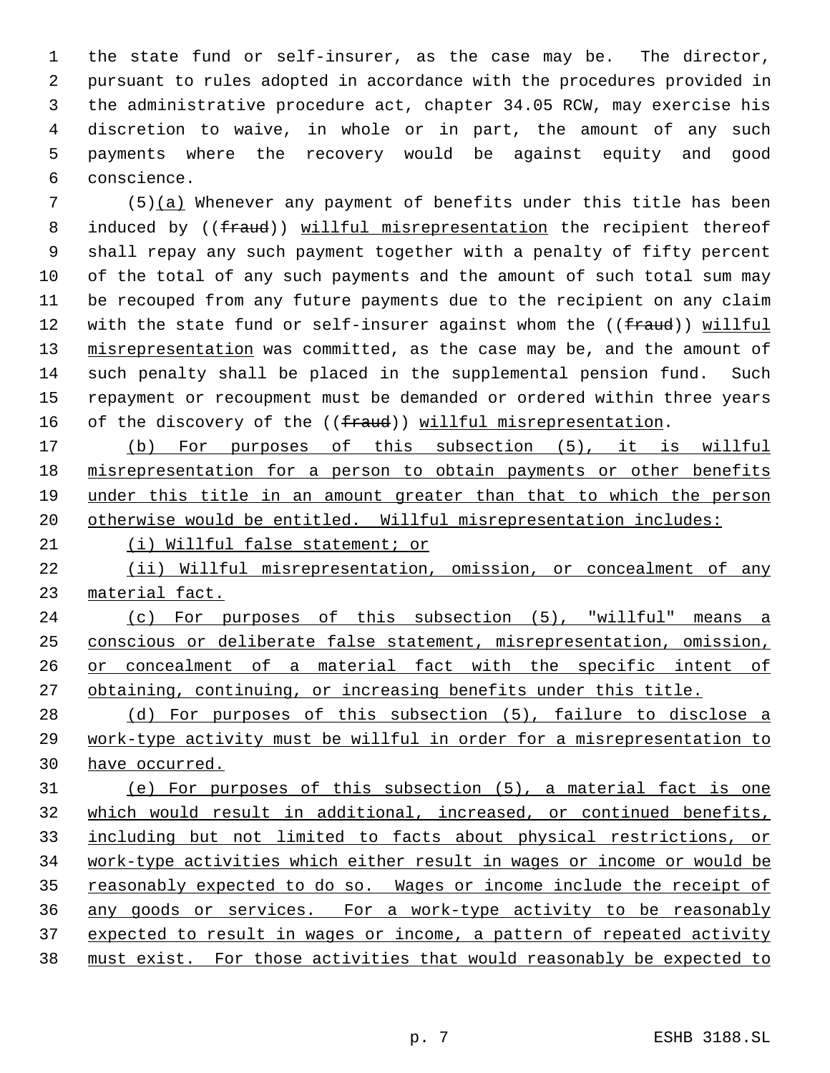the state fund or self-insurer, as the case may be. The director, pursuant to rules adopted in accordance with the procedures provided in the administrative procedure act, chapter 34.05 RCW, may exercise his discretion to waive, in whole or in part, the amount of any such payments where the recovery would be against equity and good conscience.

 (5)(a) Whenever any payment of benefits under this title has been 8 induced by ((fraud)) willful misrepresentation the recipient thereof shall repay any such payment together with a penalty of fifty percent of the total of any such payments and the amount of such total sum may be recouped from any future payments due to the recipient on any claim 12 with the state fund or self-insurer against whom the ((fraud)) willful 13 misrepresentation was committed, as the case may be, and the amount of such penalty shall be placed in the supplemental pension fund. Such repayment or recoupment must be demanded or ordered within three years 16 of the discovery of the ((fraud)) willful misrepresentation.

 (b) For purposes of this subsection (5), it is willful misrepresentation for a person to obtain payments or other benefits under this title in an amount greater than that to which the person otherwise would be entitled. Willful misrepresentation includes:

(i) Willful false statement; or

 (ii) Willful misrepresentation, omission, or concealment of any material fact.

 (c) For purposes of this subsection (5), "willful" means a conscious or deliberate false statement, misrepresentation, omission, 26 or concealment of a material fact with the specific intent of obtaining, continuing, or increasing benefits under this title.

 (d) For purposes of this subsection (5), failure to disclose a work-type activity must be willful in order for a misrepresentation to have occurred.

 (e) For purposes of this subsection (5), a material fact is one which would result in additional, increased, or continued benefits, including but not limited to facts about physical restrictions, or work-type activities which either result in wages or income or would be 35 reasonably expected to do so. Wages or income include the receipt of any goods or services. For a work-type activity to be reasonably 37 expected to result in wages or income, a pattern of repeated activity must exist. For those activities that would reasonably be expected to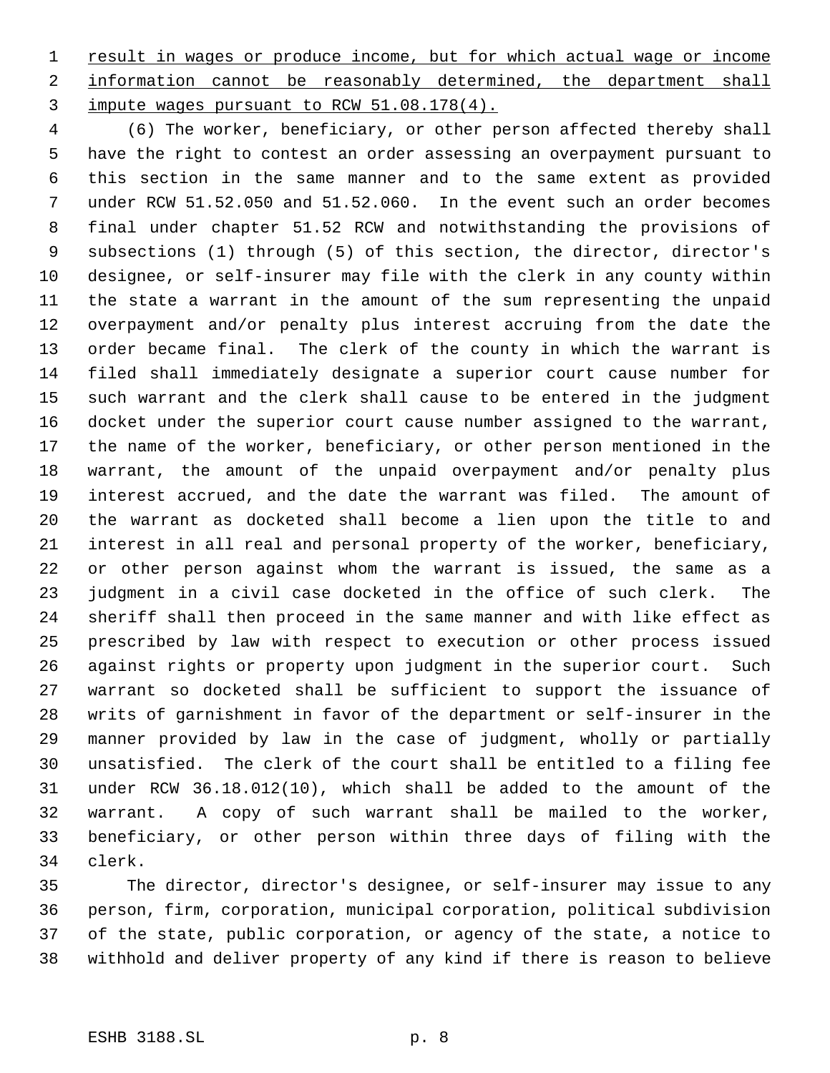1 result in wages or produce income, but for which actual wage or income 2 information cannot be reasonably determined, the department shall impute wages pursuant to RCW 51.08.178(4).

 (6) The worker, beneficiary, or other person affected thereby shall have the right to contest an order assessing an overpayment pursuant to this section in the same manner and to the same extent as provided under RCW 51.52.050 and 51.52.060. In the event such an order becomes final under chapter 51.52 RCW and notwithstanding the provisions of subsections (1) through (5) of this section, the director, director's designee, or self-insurer may file with the clerk in any county within the state a warrant in the amount of the sum representing the unpaid overpayment and/or penalty plus interest accruing from the date the order became final. The clerk of the county in which the warrant is filed shall immediately designate a superior court cause number for such warrant and the clerk shall cause to be entered in the judgment docket under the superior court cause number assigned to the warrant, the name of the worker, beneficiary, or other person mentioned in the warrant, the amount of the unpaid overpayment and/or penalty plus interest accrued, and the date the warrant was filed. The amount of the warrant as docketed shall become a lien upon the title to and interest in all real and personal property of the worker, beneficiary, or other person against whom the warrant is issued, the same as a judgment in a civil case docketed in the office of such clerk. The sheriff shall then proceed in the same manner and with like effect as prescribed by law with respect to execution or other process issued against rights or property upon judgment in the superior court. Such warrant so docketed shall be sufficient to support the issuance of writs of garnishment in favor of the department or self-insurer in the manner provided by law in the case of judgment, wholly or partially unsatisfied. The clerk of the court shall be entitled to a filing fee under RCW 36.18.012(10), which shall be added to the amount of the warrant. A copy of such warrant shall be mailed to the worker, beneficiary, or other person within three days of filing with the clerk.

 The director, director's designee, or self-insurer may issue to any person, firm, corporation, municipal corporation, political subdivision of the state, public corporation, or agency of the state, a notice to withhold and deliver property of any kind if there is reason to believe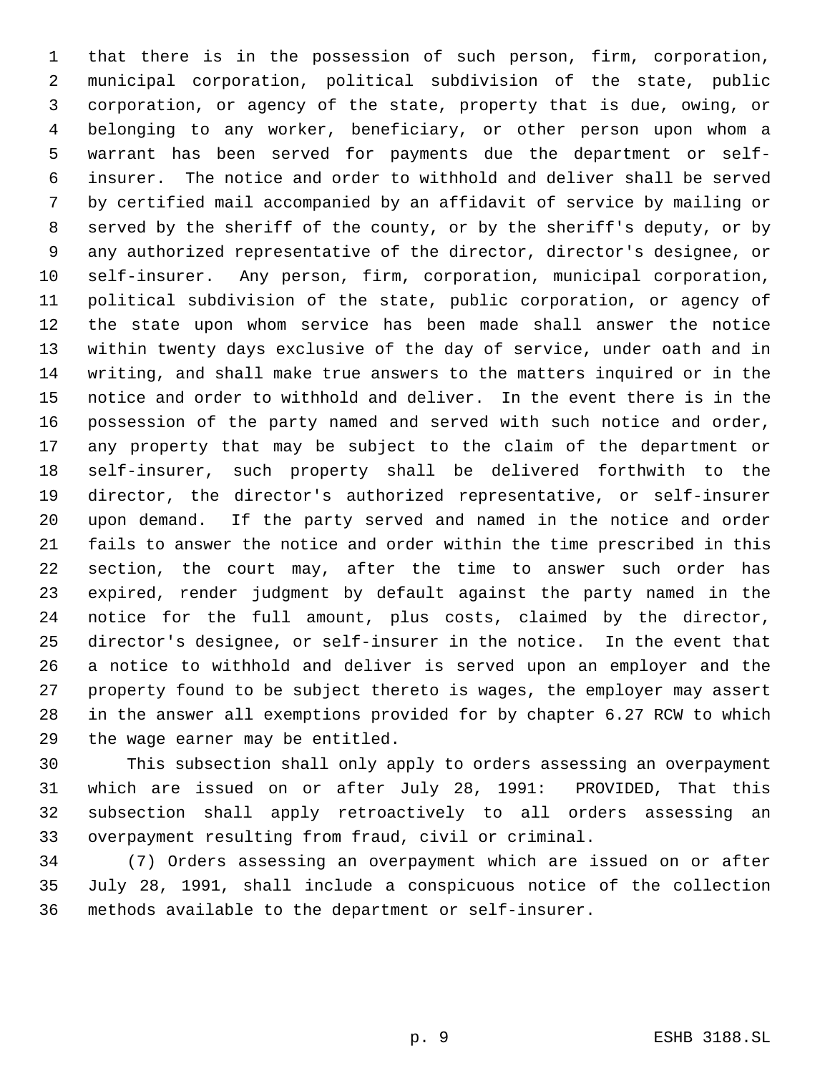that there is in the possession of such person, firm, corporation, municipal corporation, political subdivision of the state, public corporation, or agency of the state, property that is due, owing, or belonging to any worker, beneficiary, or other person upon whom a warrant has been served for payments due the department or self- insurer. The notice and order to withhold and deliver shall be served by certified mail accompanied by an affidavit of service by mailing or served by the sheriff of the county, or by the sheriff's deputy, or by any authorized representative of the director, director's designee, or self-insurer. Any person, firm, corporation, municipal corporation, political subdivision of the state, public corporation, or agency of the state upon whom service has been made shall answer the notice within twenty days exclusive of the day of service, under oath and in writing, and shall make true answers to the matters inquired or in the notice and order to withhold and deliver. In the event there is in the possession of the party named and served with such notice and order, any property that may be subject to the claim of the department or self-insurer, such property shall be delivered forthwith to the director, the director's authorized representative, or self-insurer upon demand. If the party served and named in the notice and order fails to answer the notice and order within the time prescribed in this section, the court may, after the time to answer such order has expired, render judgment by default against the party named in the notice for the full amount, plus costs, claimed by the director, director's designee, or self-insurer in the notice. In the event that a notice to withhold and deliver is served upon an employer and the property found to be subject thereto is wages, the employer may assert in the answer all exemptions provided for by chapter 6.27 RCW to which the wage earner may be entitled.

 This subsection shall only apply to orders assessing an overpayment which are issued on or after July 28, 1991: PROVIDED, That this subsection shall apply retroactively to all orders assessing an overpayment resulting from fraud, civil or criminal.

 (7) Orders assessing an overpayment which are issued on or after July 28, 1991, shall include a conspicuous notice of the collection methods available to the department or self-insurer.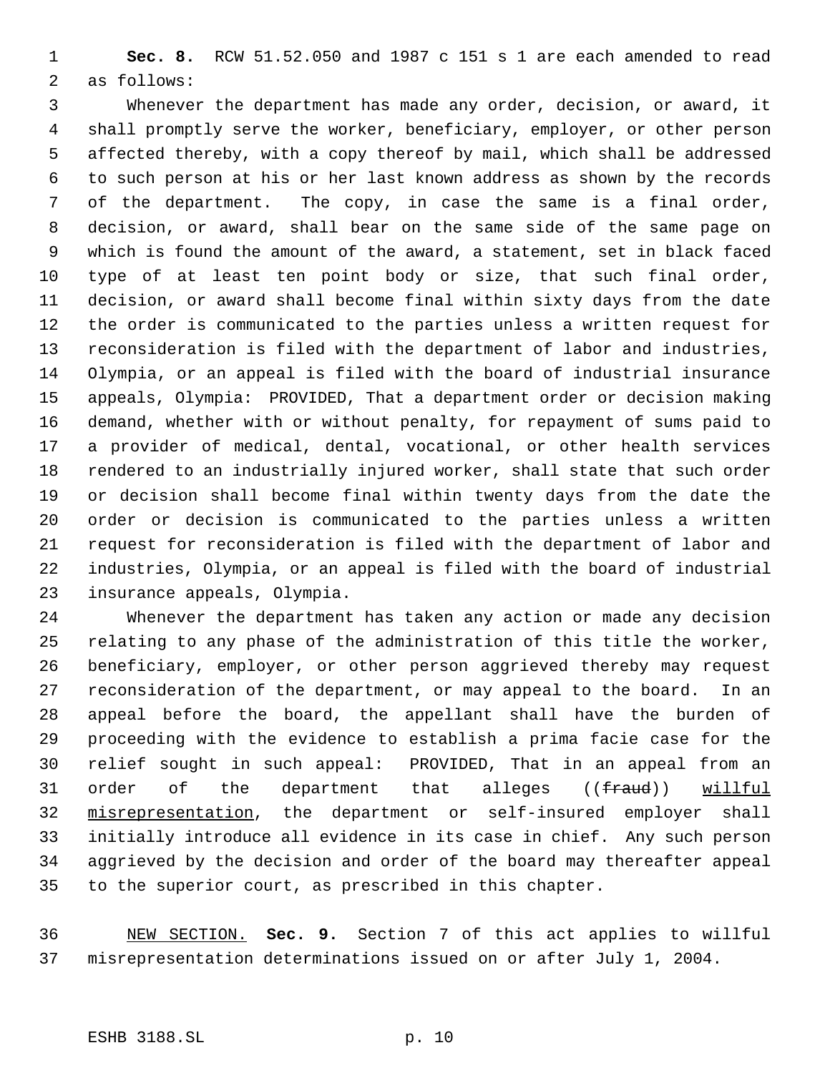**Sec. 8.** RCW 51.52.050 and 1987 c 151 s 1 are each amended to read as follows:

 Whenever the department has made any order, decision, or award, it shall promptly serve the worker, beneficiary, employer, or other person affected thereby, with a copy thereof by mail, which shall be addressed to such person at his or her last known address as shown by the records of the department. The copy, in case the same is a final order, decision, or award, shall bear on the same side of the same page on which is found the amount of the award, a statement, set in black faced type of at least ten point body or size, that such final order, decision, or award shall become final within sixty days from the date the order is communicated to the parties unless a written request for reconsideration is filed with the department of labor and industries, Olympia, or an appeal is filed with the board of industrial insurance appeals, Olympia: PROVIDED, That a department order or decision making demand, whether with or without penalty, for repayment of sums paid to a provider of medical, dental, vocational, or other health services rendered to an industrially injured worker, shall state that such order or decision shall become final within twenty days from the date the order or decision is communicated to the parties unless a written request for reconsideration is filed with the department of labor and industries, Olympia, or an appeal is filed with the board of industrial insurance appeals, Olympia.

 Whenever the department has taken any action or made any decision relating to any phase of the administration of this title the worker, beneficiary, employer, or other person aggrieved thereby may request reconsideration of the department, or may appeal to the board. In an appeal before the board, the appellant shall have the burden of proceeding with the evidence to establish a prima facie case for the relief sought in such appeal: PROVIDED, That in an appeal from an 31 order of the department that alleges ((fraud)) willful misrepresentation, the department or self-insured employer shall initially introduce all evidence in its case in chief. Any such person aggrieved by the decision and order of the board may thereafter appeal to the superior court, as prescribed in this chapter.

 NEW SECTION. **Sec. 9.** Section 7 of this act applies to willful misrepresentation determinations issued on or after July 1, 2004.

# ESHB 3188.SL p. 10